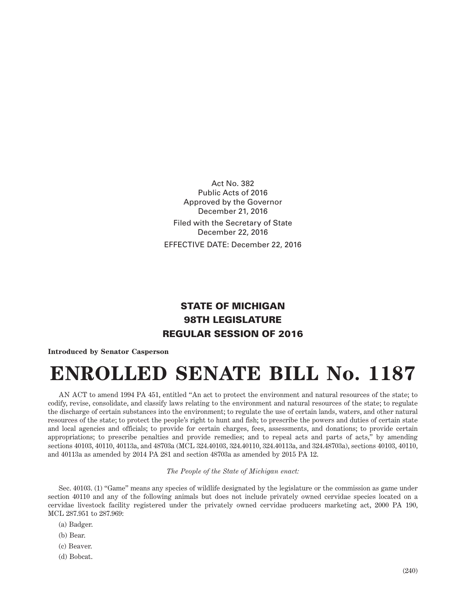Act No. 382 Public Acts of 2016 Approved by the Governor December 21, 2016 Filed with the Secretary of State December 22, 2016 EFFECTIVE DATE: December 22, 2016

## STATE OF MICHIGAN 98TH LEGISLATURE REGULAR SESSION OF 2016

## **Introduced by Senator Casperson**

## **ENROLLED SENATE BILL No. 1187**

AN ACT to amend 1994 PA 451, entitled "An act to protect the environment and natural resources of the state; to codify, revise, consolidate, and classify laws relating to the environment and natural resources of the state; to regulate the discharge of certain substances into the environment; to regulate the use of certain lands, waters, and other natural resources of the state; to protect the people's right to hunt and fish; to prescribe the powers and duties of certain state and local agencies and officials; to provide for certain charges, fees, assessments, and donations; to provide certain appropriations; to prescribe penalties and provide remedies; and to repeal acts and parts of acts," by amending sections 40103, 40110, 40113a, and 48703a (MCL 324.40103, 324.40110, 324.40113a, and 324.48703a), sections 40103, 40110, and 40113a as amended by 2014 PA 281 and section 48703a as amended by 2015 PA 12.

## *The People of the State of Michigan enact:*

Sec. 40103. (1) "Game" means any species of wildlife designated by the legislature or the commission as game under section 40110 and any of the following animals but does not include privately owned cervidae species located on a cervidae livestock facility registered under the privately owned cervidae producers marketing act, 2000 PA 190, MCL 287.951 to 287.969:

- (a) Badger.
- (b) Bear.
- (c) Beaver.
- (d) Bobcat.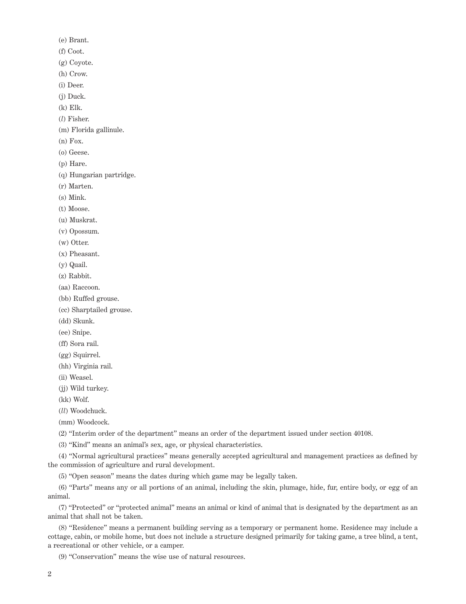(e) Brant.

(f) Coot.

(g) Coyote.

(h) Crow.

(i) Deer.

(j) Duck.

(k) Elk.

(*l*) Fisher.

(m) Florida gallinule.

 $(n)$  Fox.

(o) Geese.

(p) Hare.

(q) Hungarian partridge.

(r) Marten.

(s) Mink.

(t) Moose.

(u) Muskrat.

(v) Opossum.

(w) Otter.

(x) Pheasant.

(y) Quail.

(z) Rabbit.

(aa) Raccoon.

(bb) Ruffed grouse.

(cc) Sharptailed grouse.

(dd) Skunk.

(ee) Snipe.

(ff) Sora rail.

(gg) Squirrel.

(hh) Virginia rail.

(ii) Weasel.

(jj) Wild turkey.

(kk) Wolf.

(*ll*) Woodchuck.

(mm) Woodcock.

(2) "Interim order of the department" means an order of the department issued under section 40108.

(3) "Kind" means an animal's sex, age, or physical characteristics.

(4) "Normal agricultural practices" means generally accepted agricultural and management practices as defined by the commission of agriculture and rural development.

(5) "Open season" means the dates during which game may be legally taken.

(6) "Parts" means any or all portions of an animal, including the skin, plumage, hide, fur, entire body, or egg of an animal.

(7) "Protected" or "protected animal" means an animal or kind of animal that is designated by the department as an animal that shall not be taken.

(8) "Residence" means a permanent building serving as a temporary or permanent home. Residence may include a cottage, cabin, or mobile home, but does not include a structure designed primarily for taking game, a tree blind, a tent, a recreational or other vehicle, or a camper.

(9) "Conservation" means the wise use of natural resources.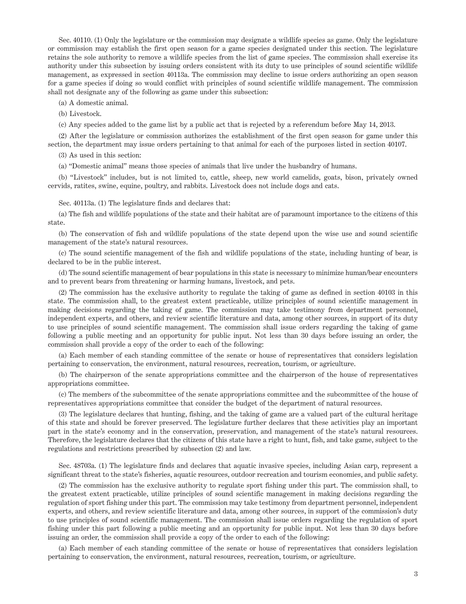Sec. 40110. (1) Only the legislature or the commission may designate a wildlife species as game. Only the legislature or commission may establish the first open season for a game species designated under this section. The legislature retains the sole authority to remove a wildlife species from the list of game species. The commission shall exercise its authority under this subsection by issuing orders consistent with its duty to use principles of sound scientific wildlife management, as expressed in section 40113a. The commission may decline to issue orders authorizing an open season for a game species if doing so would conflict with principles of sound scientific wildlife management. The commission shall not designate any of the following as game under this subsection:

(a) A domestic animal.

(b) Livestock.

(c) Any species added to the game list by a public act that is rejected by a referendum before May 14, 2013.

(2) After the legislature or commission authorizes the establishment of the first open season for game under this section, the department may issue orders pertaining to that animal for each of the purposes listed in section 40107.

(3) As used in this section:

(a) "Domestic animal" means those species of animals that live under the husbandry of humans.

(b) "Livestock" includes, but is not limited to, cattle, sheep, new world camelids, goats, bison, privately owned cervids, ratites, swine, equine, poultry, and rabbits. Livestock does not include dogs and cats.

Sec. 40113a. (1) The legislature finds and declares that:

(a) The fish and wildlife populations of the state and their habitat are of paramount importance to the citizens of this state.

(b) The conservation of fish and wildlife populations of the state depend upon the wise use and sound scientific management of the state's natural resources.

(c) The sound scientific management of the fish and wildlife populations of the state, including hunting of bear, is declared to be in the public interest.

(d) The sound scientific management of bear populations in this state is necessary to minimize human/bear encounters and to prevent bears from threatening or harming humans, livestock, and pets.

(2) The commission has the exclusive authority to regulate the taking of game as defined in section 40103 in this state. The commission shall, to the greatest extent practicable, utilize principles of sound scientific management in making decisions regarding the taking of game. The commission may take testimony from department personnel, independent experts, and others, and review scientific literature and data, among other sources, in support of its duty to use principles of sound scientific management. The commission shall issue orders regarding the taking of game following a public meeting and an opportunity for public input. Not less than 30 days before issuing an order, the commission shall provide a copy of the order to each of the following:

(a) Each member of each standing committee of the senate or house of representatives that considers legislation pertaining to conservation, the environment, natural resources, recreation, tourism, or agriculture.

(b) The chairperson of the senate appropriations committee and the chairperson of the house of representatives appropriations committee.

(c) The members of the subcommittee of the senate appropriations committee and the subcommittee of the house of representatives appropriations committee that consider the budget of the department of natural resources.

(3) The legislature declares that hunting, fishing, and the taking of game are a valued part of the cultural heritage of this state and should be forever preserved. The legislature further declares that these activities play an important part in the state's economy and in the conservation, preservation, and management of the state's natural resources. Therefore, the legislature declares that the citizens of this state have a right to hunt, fish, and take game, subject to the regulations and restrictions prescribed by subsection (2) and law.

Sec. 48703a. (1) The legislature finds and declares that aquatic invasive species, including Asian carp, represent a significant threat to the state's fisheries, aquatic resources, outdoor recreation and tourism economies, and public safety.

(2) The commission has the exclusive authority to regulate sport fishing under this part. The commission shall, to the greatest extent practicable, utilize principles of sound scientific management in making decisions regarding the regulation of sport fishing under this part. The commission may take testimony from department personnel, independent experts, and others, and review scientific literature and data, among other sources, in support of the commission's duty to use principles of sound scientific management. The commission shall issue orders regarding the regulation of sport fishing under this part following a public meeting and an opportunity for public input. Not less than 30 days before issuing an order, the commission shall provide a copy of the order to each of the following:

(a) Each member of each standing committee of the senate or house of representatives that considers legislation pertaining to conservation, the environment, natural resources, recreation, tourism, or agriculture.